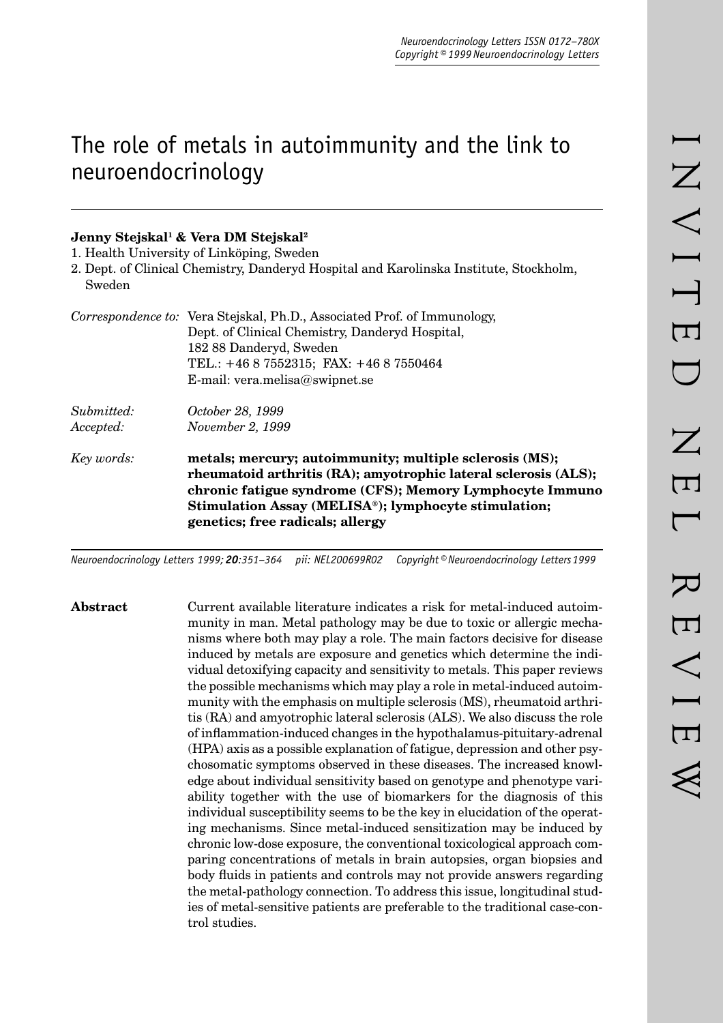# The role of metals in autoimmunity and the link to neuroendocrinology

# **Jenny Stejskal1 & Vera DM Stejskal2**

1. Health University of Linköping, Sweden

2. Dept. of Clinical Chemistry, Danderyd Hospital and Karolinska Institute, Stockholm, Sweden

|                         | Correspondence to: Vera Stejskal, Ph.D., Associated Prof. of Immunology,<br>Dept. of Clinical Chemistry, Danderyd Hospital,<br>182 88 Danderyd, Sweden<br>TEL.: $+4687552315$ ; FAX: $+4687550464$<br>E-mail: vera.melisa@swipnet.se                                               |
|-------------------------|------------------------------------------------------------------------------------------------------------------------------------------------------------------------------------------------------------------------------------------------------------------------------------|
| Submitted:<br>Accepted: | October 28, 1999<br>November 2, 1999                                                                                                                                                                                                                                               |
| Key words:              | metals; mercury; autoimmunity; multiple sclerosis (MS);<br>rheumatoid arthritis (RA); amyotrophic lateral sclerosis (ALS);<br>chronic fatigue syndrome (CFS); Memory Lymphocyte Immuno<br>Stimulation Assay (MELISA®); lymphocyte stimulation;<br>genetics; free radicals; allergy |

*Neuroendocrinology Letters 1999; 20:351–364 pii: NEL200699R02 Copyright © Neuroendocrinology Letters 1999*

**Abstract** Current available literature indicates a risk for metal-induced autoimmunity in man. Metal pathology may be due to toxic or allergic mechanisms where both may play a role. The main factors decisive for disease induced by metals are exposure and genetics which determine the individual detoxifying capacity and sensitivity to metals. This paper reviews the possible mechanisms which may play a role in metal-induced autoimmunity with the emphasis on multiple sclerosis (MS), rheumatoid arthritis (RA) and amyotrophic lateral sclerosis (ALS). We also discuss the role of inflammation-induced changes in the hypothalamus-pituitary-adrenal (HPA) axis as a possible explanation of fatigue, depression and other psychosomatic symptoms observed in these diseases. The increased knowledge about individual sensitivity based on genotype and phenotype variability together with the use of biomarkers for the diagnosis of this individual susceptibility seems to be the key in elucidation of the operating mechanisms. Since metal-induced sensitization may be induced by chronic low-dose exposure, the conventional toxicological approach comparing concentrations of metals in brain autopsies, organ biopsies and body fluids in patients and controls may not provide answers regarding the metal-pathology connection. To address this issue, longitudinal studies of metal-sensitive patients are preferable to the traditional case-control studies.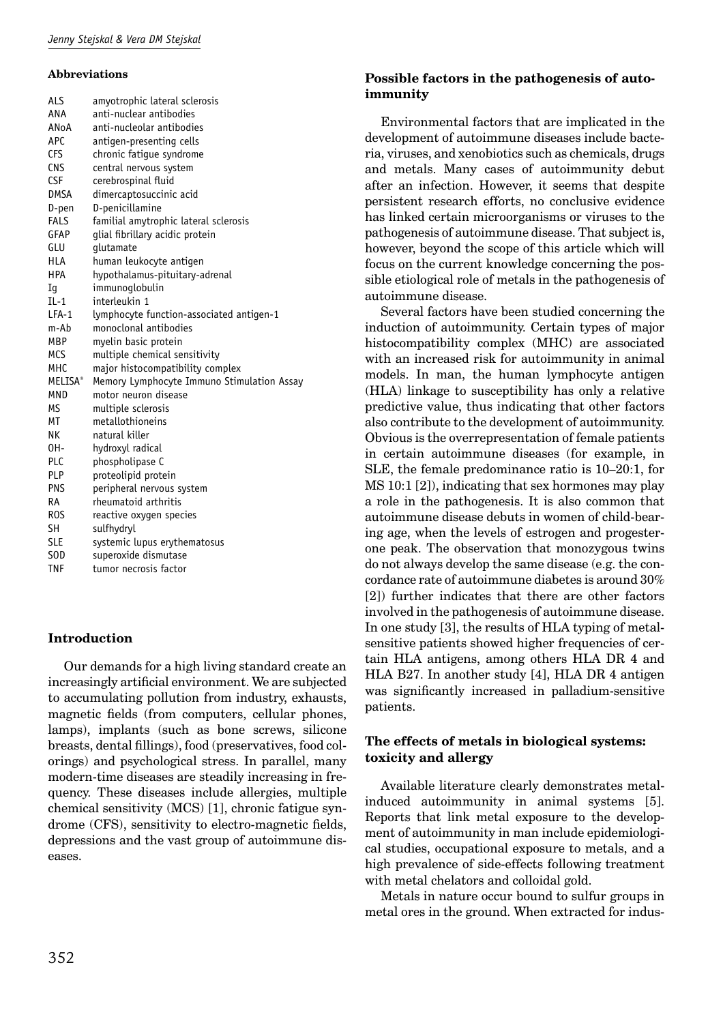#### **Abbreviations**

| <b>ALS</b>                 | amyotrophic lateral sclerosis              |
|----------------------------|--------------------------------------------|
| ANA                        | anti-nuclear antibodies                    |
| ANoA                       | anti-nucleolar antibodies                  |
| <b>APC</b>                 | antigen-presenting cells                   |
| <b>CFS</b>                 | chronic fatigue syndrome                   |
| <b>CNS</b>                 | central nervous system                     |
| <b>CSF</b>                 | cerebrospinal fluid                        |
| <b>DMSA</b>                | dimercaptosuccinic acid                    |
| D-pen                      | D-penicillamine                            |
| FALS                       | familial amytrophic lateral sclerosis      |
| GFAP                       | glial fibrillary acidic protein            |
| GLU                        | qlutamate                                  |
| <b>HLA</b>                 | human leukocyte antigen                    |
| <b>HPA</b>                 | hypothalamus-pituitary-adrenal             |
| Iq                         | immunoqlobulin                             |
| $IL-1$                     | interleukin 1                              |
| $LFA-1$                    | lymphocyte function-associated antigen-1   |
| m-Ab                       | monoclonal antibodies                      |
| <b>MBP</b>                 | myelin basic protein                       |
| <b>MCS</b>                 | multiple chemical sensitivity              |
| <b>MHC</b>                 | major histocompatibility complex           |
| <b>MELISA</b> <sup>®</sup> | Memory Lymphocyte Immuno Stimulation Assay |
| <b>MND</b>                 | motor neuron disease                       |
| <b>MS</b>                  | multiple sclerosis                         |
| MT                         | metallothioneins                           |
| NK                         | natural killer                             |
| OH-                        | hydroxyl radical                           |
| PLC                        | phospholipase C                            |
| <b>PLP</b>                 | proteolipid protein                        |
| <b>PNS</b>                 | peripheral nervous system                  |
| RA                         | rheumatoid arthritis                       |
| ROS                        | reactive oxygen species                    |
| <b>SH</b>                  | sulfhydryl                                 |
| SLE                        | systemic lupus erythematosus               |
| S <sub>O</sub> D           | superoxide dismutase                       |
| <b>TNF</b>                 | tumor necrosis factor                      |

## **Introduction**

Our demands for a high living standard create an increasingly artificial environment. We are subjected to accumulating pollution from industry, exhausts, magnetic fields (from computers, cellular phones, lamps), implants (such as bone screws, silicone breasts, dental fillings), food (preservatives, food colorings) and psychological stress. In parallel, many modern-time diseases are steadily increasing in frequency. These diseases include allergies, multiple chemical sensitivity (MCS) [1], chronic fatigue syndrome (CFS), sensitivity to electro-magnetic fields, depressions and the vast group of autoimmune diseases.

# **Possible factors in the pathogenesis of autoimmunity**

Environmental factors that are implicated in the development of autoimmune diseases include bacteria, viruses, and xenobiotics such as chemicals, drugs and metals. Many cases of autoimmunity debut after an infection. However, it seems that despite persistent research efforts, no conclusive evidence has linked certain microorganisms or viruses to the pathogenesis of autoimmune disease. That subject is, however, beyond the scope of this article which will focus on the current knowledge concerning the possible etiological role of metals in the pathogenesis of autoimmune disease.

Several factors have been studied concerning the induction of autoimmunity. Certain types of major histocompatibility complex (MHC) are associated with an increased risk for autoimmunity in animal models. In man, the human lymphocyte antigen (HLA) linkage to susceptibility has only a relative predictive value, thus indicating that other factors also contribute to the development of autoimmunity. Obvious is the overrepresentation of female patients in certain autoimmune diseases (for example, in SLE, the female predominance ratio is 10–20:1, for MS 10:1 [2]), indicating that sex hormones may play a role in the pathogenesis. It is also common that autoimmune disease debuts in women of child-bearing age, when the levels of estrogen and progesterone peak. The observation that monozygous twins do not always develop the same disease (e.g. the concordance rate of autoimmune diabetes is around 30% [2]) further indicates that there are other factors involved in the pathogenesis of autoimmune disease. In one study [3], the results of HLA typing of metalsensitive patients showed higher frequencies of certain HLA antigens, among others HLA DR 4 and HLA B27. In another study [4], HLA DR 4 antigen was significantly increased in palladium-sensitive patients.

## **The effects of metals in biological systems: toxicity and allergy**

Available literature clearly demonstrates metalinduced autoimmunity in animal systems [5]. Reports that link metal exposure to the development of autoimmunity in man include epidemiological studies, occupational exposure to metals, and a high prevalence of side-effects following treatment with metal chelators and colloidal gold.

Metals in nature occur bound to sulfur groups in metal ores in the ground. When extracted for indus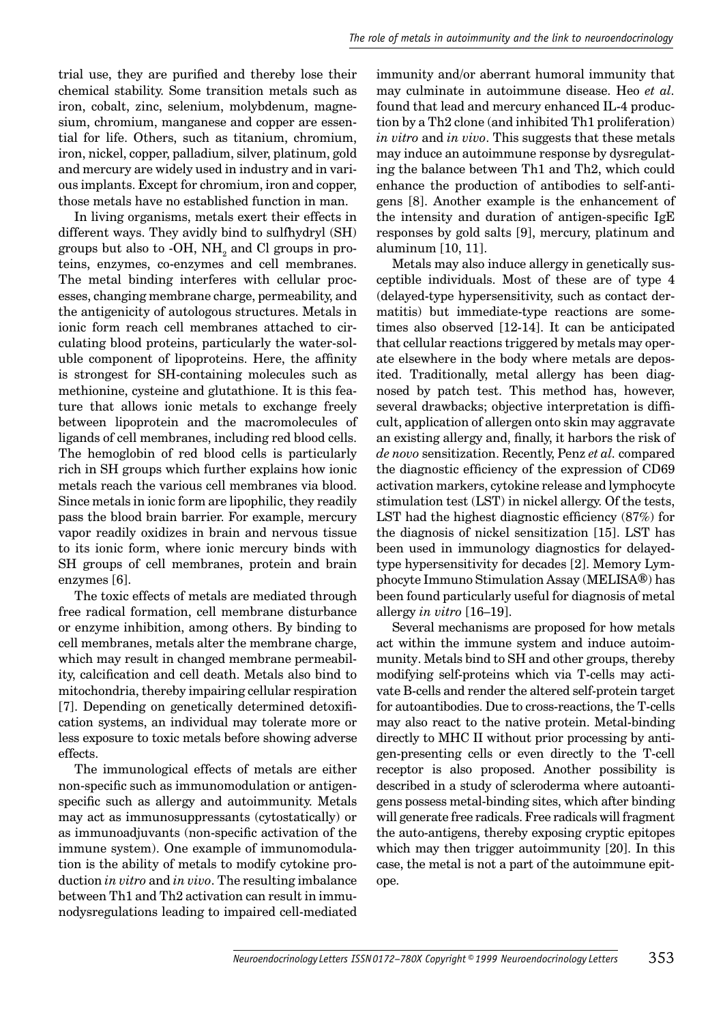trial use, they are purified and thereby lose their chemical stability. Some transition metals such as iron, cobalt, zinc, selenium, molybdenum, magnesium, chromium, manganese and copper are essential for life. Others, such as titanium, chromium, iron, nickel, copper, palladium, silver, platinum, gold and mercury are widely used in industry and in various implants. Except for chromium, iron and copper, those metals have no established function in man.

In living organisms, metals exert their effects in different ways. They avidly bind to sulfhydryl (SH) groups but also to -OH,  $\mathrm{NH}_2$  and Cl groups in proteins, enzymes, co-enzymes and cell membranes. The metal binding interferes with cellular processes, changing membrane charge, permeability, and the antigenicity of autologous structures. Metals in ionic form reach cell membranes attached to circulating blood proteins, particularly the water-soluble component of lipoproteins. Here, the affinity is strongest for SH-containing molecules such as methionine, cysteine and glutathione. It is this feature that allows ionic metals to exchange freely between lipoprotein and the macromolecules of ligands of cell membranes, including red blood cells. The hemoglobin of red blood cells is particularly rich in SH groups which further explains how ionic metals reach the various cell membranes via blood. Since metals in ionic form are lipophilic, they readily pass the blood brain barrier. For example, mercury vapor readily oxidizes in brain and nervous tissue to its ionic form, where ionic mercury binds with SH groups of cell membranes, protein and brain enzymes [6].

The toxic effects of metals are mediated through free radical formation, cell membrane disturbance or enzyme inhibition, among others. By binding to cell membranes, metals alter the membrane charge, which may result in changed membrane permeability, calcification and cell death. Metals also bind to mitochondria, thereby impairing cellular respiration [7]. Depending on genetically determined detoxification systems, an individual may tolerate more or less exposure to toxic metals before showing adverse effects.

The immunological effects of metals are either non-specific such as immunomodulation or antigenspecific such as allergy and autoimmunity. Metals may act as immunosuppressants (cytostatically) or as immunoadjuvants (non-specific activation of the immune system). One example of immunomodulation is the ability of metals to modify cytokine production *in vitro* and *in vivo*. The resulting imbalance between Th1 and Th2 activation can result in immunodysregulations leading to impaired cell-mediated immunity and/or aberrant humoral immunity that may culminate in autoimmune disease. Heo *et al.* found that lead and mercury enhanced IL-4 production by a Th2 clone (and inhibited Th1 proliferation) *in vitro* and *in vivo*. This suggests that these metals may induce an autoimmune response by dysregulating the balance between Th1 and Th2, which could enhance the production of antibodies to self-antigens [8]. Another example is the enhancement of the intensity and duration of antigen-specific  $IgE$ responses by gold salts [9], mercury, platinum and aluminum [10, 11].

Metals may also induce allergy in genetically susceptible individuals. Most of these are of type 4 (delayed-type hypersensitivity, such as contact dermatitis) but immediate-type reactions are sometimes also observed [12-14]. It can be anticipated that cellular reactions triggered by metals may operate elsewhere in the body where metals are deposited. Traditionally, metal allergy has been diagnosed by patch test. This method has, however, several drawbacks; objective interpretation is difficult, application of allergen onto skin may aggravate an existing allergy and, finally, it harbors the risk of *de novo* sensitization. Recently, Penz *et al.* compared the diagnostic efficiency of the expression of CD69 activation markers, cytokine release and lymphocyte stimulation test (LST) in nickel allergy. Of the tests, LST had the highest diagnostic efficiency  $(87%)$  for the diagnosis of nickel sensitization [15]. LST has been used in immunology diagnostics for delayedtype hypersensitivity for decades [2]. Memory Lymphocyte Immuno Stimulation Assay (MELISA**®**) has been found particularly useful for diagnosis of metal allergy *in vitro* [16–19].

Several mechanisms are proposed for how metals act within the immune system and induce autoimmunity. Metals bind to SH and other groups, thereby modifying self-proteins which via T-cells may activate B-cells and render the altered self-protein target for autoantibodies. Due to cross-reactions, the T-cells may also react to the native protein. Metal-binding directly to MHC II without prior processing by antigen-presenting cells or even directly to the T-cell receptor is also proposed. Another possibility is described in a study of scleroderma where autoantigens possess metal-binding sites, which after binding will generate free radicals. Free radicals will fragment the auto-antigens, thereby exposing cryptic epitopes which may then trigger autoimmunity [20]. In this case, the metal is not a part of the autoimmune epitope.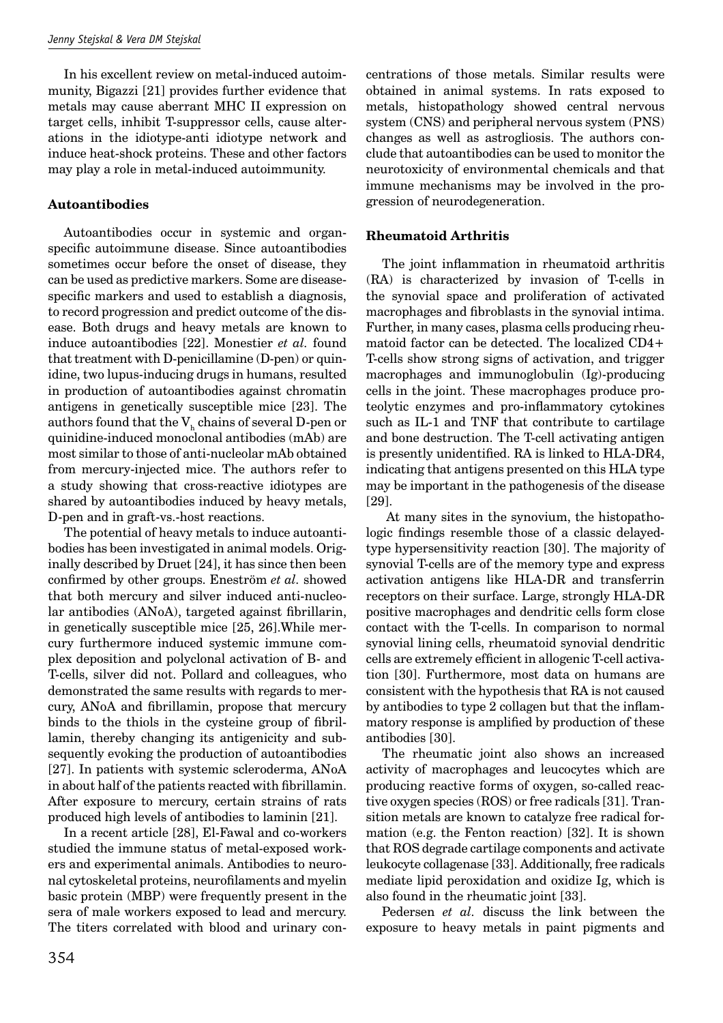In his excellent review on metal-induced autoimmunity, Bigazzi [21] provides further evidence that metals may cause aberrant MHC II expression on target cells, inhibit T-suppressor cells, cause alterations in the idiotype-anti idiotype network and induce heat-shock proteins. These and other factors may play a role in metal-induced autoimmunity.

# **Autoantibodies**

Autoantibodies occur in systemic and organspecific autoimmune disease. Since autoantibodies sometimes occur before the onset of disease, they can be used as predictive markers. Some are diseasespecific markers and used to establish a diagnosis, to record progression and predict outcome of the disease. Both drugs and heavy metals are known to induce autoantibodies [22]. Monestier *et al.* found that treatment with D-penicillamine (D-pen) or quinidine, two lupus-inducing drugs in humans, resulted in production of autoantibodies against chromatin antigens in genetically susceptible mice [23]. The authors found that the  $V<sub>h</sub>$  chains of several D-pen or quinidine-induced monoclonal antibodies (mAb) are most similar to those of anti-nucleolar mAb obtained from mercury-injected mice. The authors refer to a study showing that cross-reactive idiotypes are shared by autoantibodies induced by heavy metals, D-pen and in graft-vs.-host reactions.

The potential of heavy metals to induce autoantibodies has been investigated in animal models. Originally described by Druet [24], it has since then been confirmed by other groups. Eneström *et al.* showed that both mercury and silver induced anti-nucleolar antibodies (ANoA), targeted against fibrillarin, in genetically susceptible mice [25, 26].While mercury furthermore induced systemic immune complex deposition and polyclonal activation of B- and T-cells, silver did not. Pollard and colleagues, who demonstrated the same results with regards to mercury, ANoA and fibrillamin, propose that mercury binds to the thiols in the cysteine group of fibrillamin, thereby changing its antigenicity and subsequently evoking the production of autoantibodies [27]. In patients with systemic scleroderma, ANoA in about half of the patients reacted with fibrillamin. After exposure to mercury, certain strains of rats produced high levels of antibodies to laminin [21].

In a recent article [28], El-Fawal and co-workers studied the immune status of metal-exposed workers and experimental animals. Antibodies to neuronal cytoskeletal proteins, neurofilaments and myelin basic protein (MBP) were frequently present in the sera of male workers exposed to lead and mercury. The titers correlated with blood and urinary concentrations of those metals. Similar results were obtained in animal systems. In rats exposed to metals, histopathology showed central nervous system (CNS) and peripheral nervous system (PNS) changes as well as astrogliosis. The authors conclude that autoantibodies can be used to monitor the neurotoxicity of environmental chemicals and that immune mechanisms may be involved in the progression of neurodegeneration.

## **Rheumatoid Arthritis**

The joint inflammation in rheumatoid arthritis (RA) is characterized by invasion of T-cells in the synovial space and proliferation of activated macrophages and fibroblasts in the synovial intima. Further, in many cases, plasma cells producing rheumatoid factor can be detected. The localized CD4+ T-cells show strong signs of activation, and trigger macrophages and immunoglobulin (Ig)-producing cells in the joint. These macrophages produce proteolytic enzymes and pro-inflammatory cytokines such as IL-1 and TNF that contribute to cartilage and bone destruction. The T-cell activating antigen is presently unidentified. RA is linked to HLA-DR4, indicating that antigens presented on this HLA type may be important in the pathogenesis of the disease [29].

 At many sites in the synovium, the histopathologic findings resemble those of a classic delayedtype hypersensitivity reaction [30]. The majority of synovial T-cells are of the memory type and express activation antigens like HLA-DR and transferrin receptors on their surface. Large, strongly HLA-DR positive macrophages and dendritic cells form close contact with the T-cells. In comparison to normal synovial lining cells, rheumatoid synovial dendritic cells are extremely efficient in allogenic T-cell activation [30]. Furthermore, most data on humans are consistent with the hypothesis that RA is not caused by antibodies to type 2 collagen but that the inflammatory response is amplified by production of these antibodies [30].

The rheumatic joint also shows an increased activity of macrophages and leucocytes which are producing reactive forms of oxygen, so-called reactive oxygen species (ROS) or free radicals [31]. Transition metals are known to catalyze free radical formation (e.g. the Fenton reaction) [32]. It is shown that ROS degrade cartilage components and activate leukocyte collagenase [33]. Additionally, free radicals mediate lipid peroxidation and oxidize Ig, which is also found in the rheumatic joint [33].

Pedersen *et al.* discuss the link between the exposure to heavy metals in paint pigments and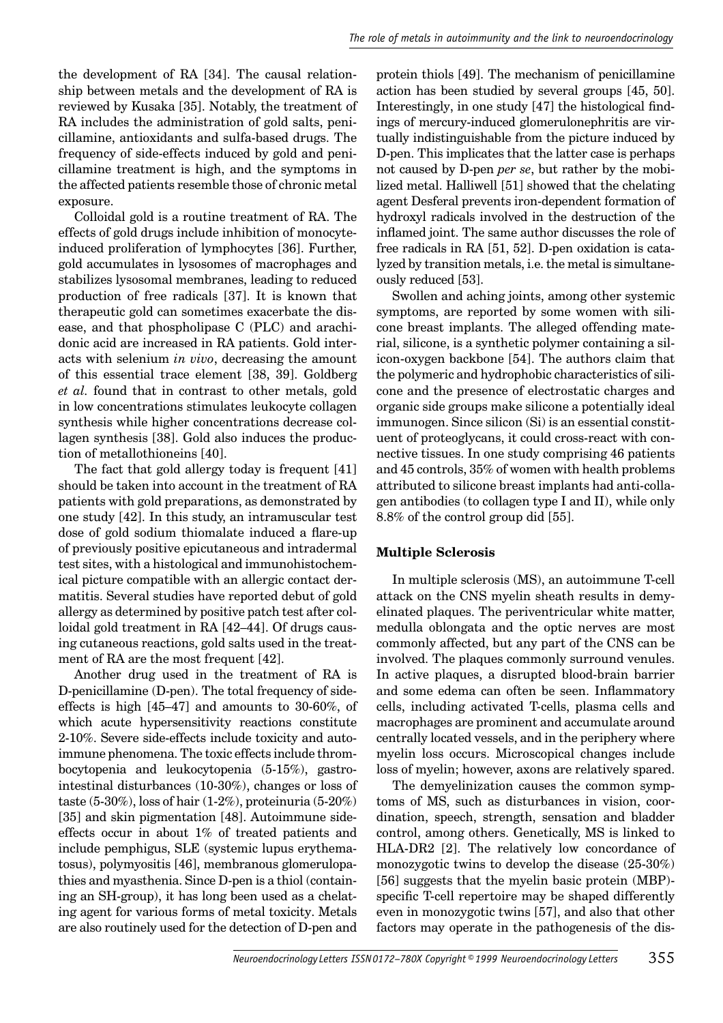the development of RA [34]. The causal relationship between metals and the development of RA is reviewed by Kusaka [35]. Notably, the treatment of RA includes the administration of gold salts, penicillamine, antioxidants and sulfa-based drugs. The frequency of side-effects induced by gold and penicillamine treatment is high, and the symptoms in the affected patients resemble those of chronic metal exposure.

Colloidal gold is a routine treatment of RA. The effects of gold drugs include inhibition of monocyteinduced proliferation of lymphocytes [36]. Further, gold accumulates in lysosomes of macrophages and stabilizes lysosomal membranes, leading to reduced production of free radicals [37]. It is known that therapeutic gold can sometimes exacerbate the disease, and that phospholipase C (PLC) and arachidonic acid are increased in RA patients. Gold interacts with selenium *in vivo*, decreasing the amount of this essential trace element [38, 39]. Goldberg *et al.* found that in contrast to other metals, gold in low concentrations stimulates leukocyte collagen synthesis while higher concentrations decrease collagen synthesis [38]. Gold also induces the production of metallothioneins [40].

The fact that gold allergy today is frequent [41] should be taken into account in the treatment of RA patients with gold preparations, as demonstrated by one study [42]. In this study, an intramuscular test dose of gold sodium thiomalate induced a flare-up of previously positive epicutaneous and intradermal test sites, with a histological and immunohistochemical picture compatible with an allergic contact dermatitis. Several studies have reported debut of gold allergy as determined by positive patch test after colloidal gold treatment in RA [42–44]. Of drugs causing cutaneous reactions, gold salts used in the treatment of RA are the most frequent [42].

Another drug used in the treatment of RA is D-penicillamine (D-pen). The total frequency of sideeffects is high [45–47] and amounts to 30-60%, of which acute hypersensitivity reactions constitute 2-10%. Severe side-effects include toxicity and autoimmune phenomena. The toxic effects include thrombocytopenia and leukocytopenia (5-15%), gastrointestinal disturbances (10-30%), changes or loss of taste (5-30%), loss of hair (1-2%), proteinuria (5-20%) [35] and skin pigmentation [48]. Autoimmune sideeffects occur in about 1% of treated patients and include pemphigus, SLE (systemic lupus erythematosus), polymyositis [46], membranous glomerulopathies and myasthenia. Since D-pen is a thiol (containing an SH-group), it has long been used as a chelating agent for various forms of metal toxicity. Metals are also routinely used for the detection of D-pen and

protein thiols [49]. The mechanism of penicillamine action has been studied by several groups [45, 50]. Interestingly, in one study [47] the histological findings of mercury-induced glomerulonephritis are virtually indistinguishable from the picture induced by D-pen. This implicates that the latter case is perhaps not caused by D-pen *per se*, but rather by the mobilized metal. Halliwell [51] showed that the chelating agent Desferal prevents iron-dependent formation of hydroxyl radicals involved in the destruction of the inflamed joint. The same author discusses the role of free radicals in RA [51, 52]. D-pen oxidation is catalyzed by transition metals, i.e. the metal is simultaneously reduced [53].

Swollen and aching joints, among other systemic symptoms, are reported by some women with silicone breast implants. The alleged offending material, silicone, is a synthetic polymer containing a silicon-oxygen backbone [54]. The authors claim that the polymeric and hydrophobic characteristics of silicone and the presence of electrostatic charges and organic side groups make silicone a potentially ideal immunogen. Since silicon (Si) is an essential constituent of proteoglycans, it could cross-react with connective tissues. In one study comprising 46 patients and 45 controls, 35% of women with health problems attributed to silicone breast implants had anti-collagen antibodies (to collagen type I and II), while only 8.8% of the control group did [55].

## **Multiple Sclerosis**

In multiple sclerosis (MS), an autoimmune T-cell attack on the CNS myelin sheath results in demyelinated plaques. The periventricular white matter, medulla oblongata and the optic nerves are most commonly affected, but any part of the CNS can be involved. The plaques commonly surround venules. In active plaques, a disrupted blood-brain barrier and some edema can often be seen. Inflammatory cells, including activated T-cells, plasma cells and macrophages are prominent and accumulate around centrally located vessels, and in the periphery where myelin loss occurs. Microscopical changes include loss of myelin; however, axons are relatively spared.

The demyelinization causes the common symptoms of MS, such as disturbances in vision, coordination, speech, strength, sensation and bladder control, among others. Genetically, MS is linked to HLA-DR2 [2]. The relatively low concordance of monozygotic twins to develop the disease (25-30%) [56] suggests that the myelin basic protein (MBP) specific T-cell repertoire may be shaped differently even in monozygotic twins [57], and also that other factors may operate in the pathogenesis of the dis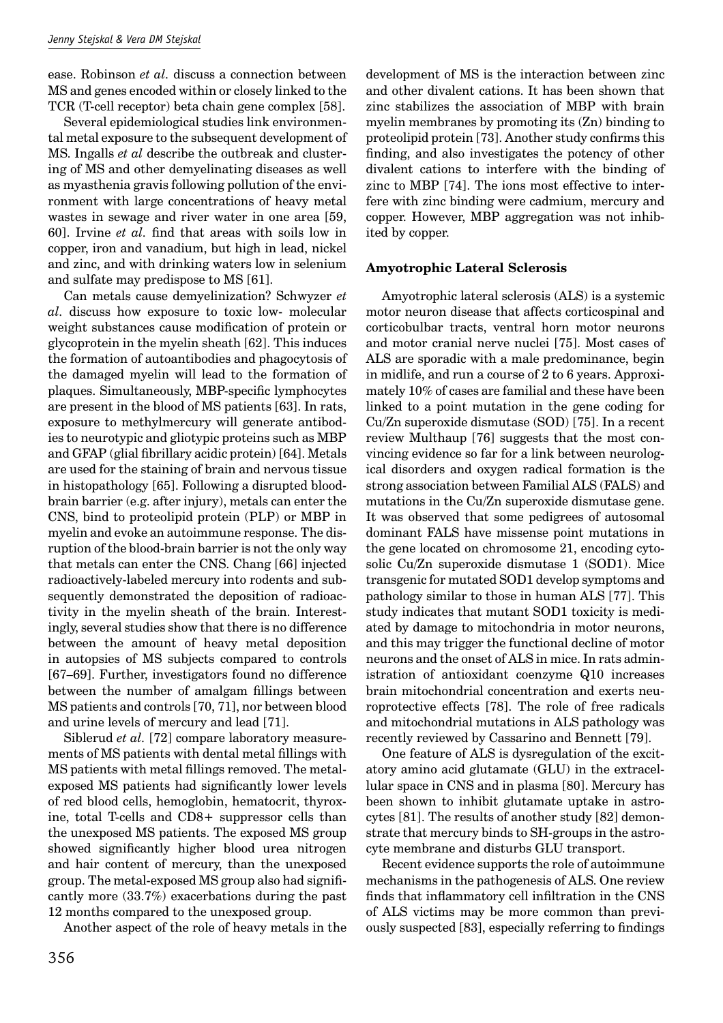ease. Robinson *et al.* discuss a connection between MS and genes encoded within or closely linked to the TCR (T-cell receptor) beta chain gene complex [58].

Several epidemiological studies link environmental metal exposure to the subsequent development of MS. Ingalls *et al* describe the outbreak and clustering of MS and other demyelinating diseases as well as myasthenia gravis following pollution of the environment with large concentrations of heavy metal wastes in sewage and river water in one area [59, 60]. Irvine *et al.* find that areas with soils low in copper, iron and vanadium, but high in lead, nickel and zinc, and with drinking waters low in selenium and sulfate may predispose to MS [61].

Can metals cause demyelinization? Schwyzer *et al.* discuss how exposure to toxic low- molecular weight substances cause modification of protein or glycoprotein in the myelin sheath [62]. This induces the formation of autoantibodies and phagocytosis of the damaged myelin will lead to the formation of plaques. Simultaneously, MBP-specific lymphocytes are present in the blood of MS patients [63]. In rats, exposure to methylmercury will generate antibodies to neurotypic and gliotypic proteins such as MBP and GFAP (glial fibrillary acidic protein) [64]. Metals are used for the staining of brain and nervous tissue in histopathology [65]. Following a disrupted bloodbrain barrier (e.g. after injury), metals can enter the CNS, bind to proteolipid protein (PLP) or MBP in myelin and evoke an autoimmune response. The disruption of the blood-brain barrier is not the only way that metals can enter the CNS. Chang [66] injected radioactively-labeled mercury into rodents and subsequently demonstrated the deposition of radioactivity in the myelin sheath of the brain. Interestingly, several studies show that there is no difference between the amount of heavy metal deposition in autopsies of MS subjects compared to controls [67–69]. Further, investigators found no difference between the number of amalgam fillings between MS patients and controls [70, 71], nor between blood and urine levels of mercury and lead [71].

Siblerud *et al.* [72] compare laboratory measurements of MS patients with dental metal fillings with MS patients with metal fillings removed. The metalexposed MS patients had significantly lower levels of red blood cells, hemoglobin, hematocrit, thyroxine, total T-cells and CD8+ suppressor cells than the unexposed MS patients. The exposed MS group showed significantly higher blood urea nitrogen and hair content of mercury, than the unexposed group. The metal-exposed MS group also had signifi cantly more (33.7%) exacerbations during the past 12 months compared to the unexposed group.

Another aspect of the role of heavy metals in the

development of MS is the interaction between zinc and other divalent cations. It has been shown that zinc stabilizes the association of MBP with brain myelin membranes by promoting its (Zn) binding to proteolipid protein [73]. Another study confirms this finding, and also investigates the potency of other divalent cations to interfere with the binding of zinc to MBP [74]. The ions most effective to interfere with zinc binding were cadmium, mercury and copper. However, MBP aggregation was not inhibited by copper.

#### **Amyotrophic Lateral Sclerosis**

Amyotrophic lateral sclerosis (ALS) is a systemic motor neuron disease that affects corticospinal and corticobulbar tracts, ventral horn motor neurons and motor cranial nerve nuclei [75]. Most cases of ALS are sporadic with a male predominance, begin in midlife, and run a course of 2 to 6 years. Approximately 10% of cases are familial and these have been linked to a point mutation in the gene coding for Cu/Zn superoxide dismutase (SOD) [75]. In a recent review Multhaup [76] suggests that the most convincing evidence so far for a link between neurological disorders and oxygen radical formation is the strong association between Familial ALS (FALS) and mutations in the Cu/Zn superoxide dismutase gene. It was observed that some pedigrees of autosomal dominant FALS have missense point mutations in the gene located on chromosome 21, encoding cytosolic Cu/Zn superoxide dismutase 1 (SOD1). Mice transgenic for mutated SOD1 develop symptoms and pathology similar to those in human ALS [77]. This study indicates that mutant SOD1 toxicity is mediated by damage to mitochondria in motor neurons, and this may trigger the functional decline of motor neurons and the onset of ALS in mice. In rats administration of antioxidant coenzyme Q10 increases brain mitochondrial concentration and exerts neuroprotective effects [78]. The role of free radicals and mitochondrial mutations in ALS pathology was recently reviewed by Cassarino and Bennett [79].

One feature of ALS is dysregulation of the excitatory amino acid glutamate (GLU) in the extracellular space in CNS and in plasma [80]. Mercury has been shown to inhibit glutamate uptake in astrocytes [81]. The results of another study [82] demonstrate that mercury binds to SH-groups in the astrocyte membrane and disturbs GLU transport.

Recent evidence supports the role of autoimmune mechanisms in the pathogenesis of ALS. One review finds that inflammatory cell infiltration in the CNS of ALS victims may be more common than previously suspected [83], especially referring to findings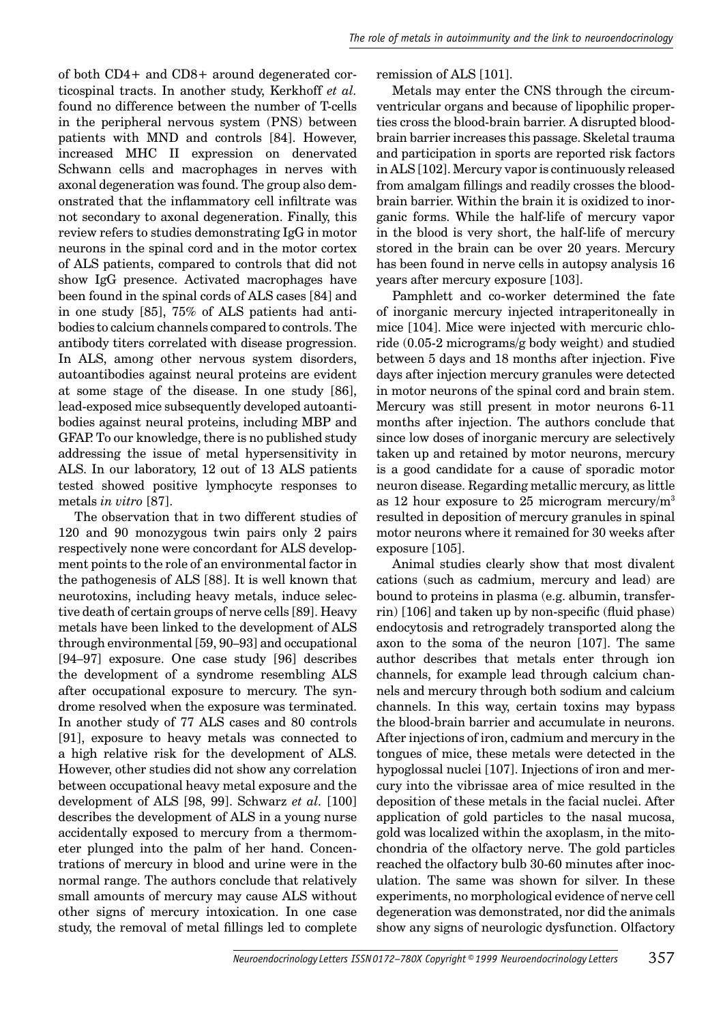of both CD4+ and CD8+ around degenerated corticospinal tracts. In another study, Kerkhoff *et al.* found no difference between the number of T-cells in the peripheral nervous system (PNS) between patients with MND and controls [84]. However, increased MHC II expression on denervated Schwann cells and macrophages in nerves with axonal degeneration was found. The group also demonstrated that the inflammatory cell infiltrate was not secondary to axonal degeneration. Finally, this review refers to studies demonstrating IgG in motor neurons in the spinal cord and in the motor cortex of ALS patients, compared to controls that did not show IgG presence. Activated macrophages have been found in the spinal cords of ALS cases [84] and in one study [85], 75% of ALS patients had antibodies to calcium channels compared to controls. The antibody titers correlated with disease progression. In ALS, among other nervous system disorders, autoantibodies against neural proteins are evident at some stage of the disease. In one study [86], lead-exposed mice subsequently developed autoantibodies against neural proteins, including MBP and GFAP. To our knowledge, there is no published study addressing the issue of metal hypersensitivity in ALS. In our laboratory, 12 out of 13 ALS patients tested showed positive lymphocyte responses to metals *in vitro* [87].

The observation that in two different studies of 120 and 90 monozygous twin pairs only 2 pairs respectively none were concordant for ALS development points to the role of an environmental factor in the pathogenesis of ALS [88]. It is well known that neurotoxins, including heavy metals, induce selective death of certain groups of nerve cells [89]. Heavy metals have been linked to the development of ALS through environmental [59, 90–93] and occupational [94–97] exposure. One case study [96] describes the development of a syndrome resembling ALS after occupational exposure to mercury. The syndrome resolved when the exposure was terminated. In another study of 77 ALS cases and 80 controls [91], exposure to heavy metals was connected to a high relative risk for the development of ALS. However, other studies did not show any correlation between occupational heavy metal exposure and the development of ALS [98, 99]. Schwarz *et al.* [100] describes the development of ALS in a young nurse accidentally exposed to mercury from a thermometer plunged into the palm of her hand. Concentrations of mercury in blood and urine were in the normal range. The authors conclude that relatively small amounts of mercury may cause ALS without other signs of mercury intoxication. In one case study, the removal of metal fillings led to complete

#### remission of ALS [101].

Metals may enter the CNS through the circumventricular organs and because of lipophilic properties cross the blood-brain barrier. A disrupted bloodbrain barrier increases this passage. Skeletal trauma and participation in sports are reported risk factors in ALS [102]. Mercury vapor is continuously released from amalgam fillings and readily crosses the bloodbrain barrier. Within the brain it is oxidized to inorganic forms. While the half-life of mercury vapor in the blood is very short, the half-life of mercury stored in the brain can be over 20 years. Mercury has been found in nerve cells in autopsy analysis 16 years after mercury exposure [103].

Pamphlett and co-worker determined the fate of inorganic mercury injected intraperitoneally in mice [104]. Mice were injected with mercuric chloride (0.05-2 micrograms/g body weight) and studied between 5 days and 18 months after injection. Five days after injection mercury granules were detected in motor neurons of the spinal cord and brain stem. Mercury was still present in motor neurons 6-11 months after injection. The authors conclude that since low doses of inorganic mercury are selectively taken up and retained by motor neurons, mercury is a good candidate for a cause of sporadic motor neuron disease. Regarding metallic mercury, as little as 12 hour exposure to 25 microgram mercury/ $m<sup>3</sup>$ resulted in deposition of mercury granules in spinal motor neurons where it remained for 30 weeks after exposure [105].

Animal studies clearly show that most divalent cations (such as cadmium, mercury and lead) are bound to proteins in plasma (e.g. albumin, transferrin)  $[106]$  and taken up by non-specific (fluid phase) endocytosis and retrogradely transported along the axon to the soma of the neuron [107]. The same author describes that metals enter through ion channels, for example lead through calcium channels and mercury through both sodium and calcium channels. In this way, certain toxins may bypass the blood-brain barrier and accumulate in neurons. After injections of iron, cadmium and mercury in the tongues of mice, these metals were detected in the hypoglossal nuclei [107]. Injections of iron and mercury into the vibrissae area of mice resulted in the deposition of these metals in the facial nuclei. After application of gold particles to the nasal mucosa, gold was localized within the axoplasm, in the mitochondria of the olfactory nerve. The gold particles reached the olfactory bulb 30-60 minutes after inoculation. The same was shown for silver. In these experiments, no morphological evidence of nerve cell degeneration was demonstrated, nor did the animals show any signs of neurologic dysfunction. Olfactory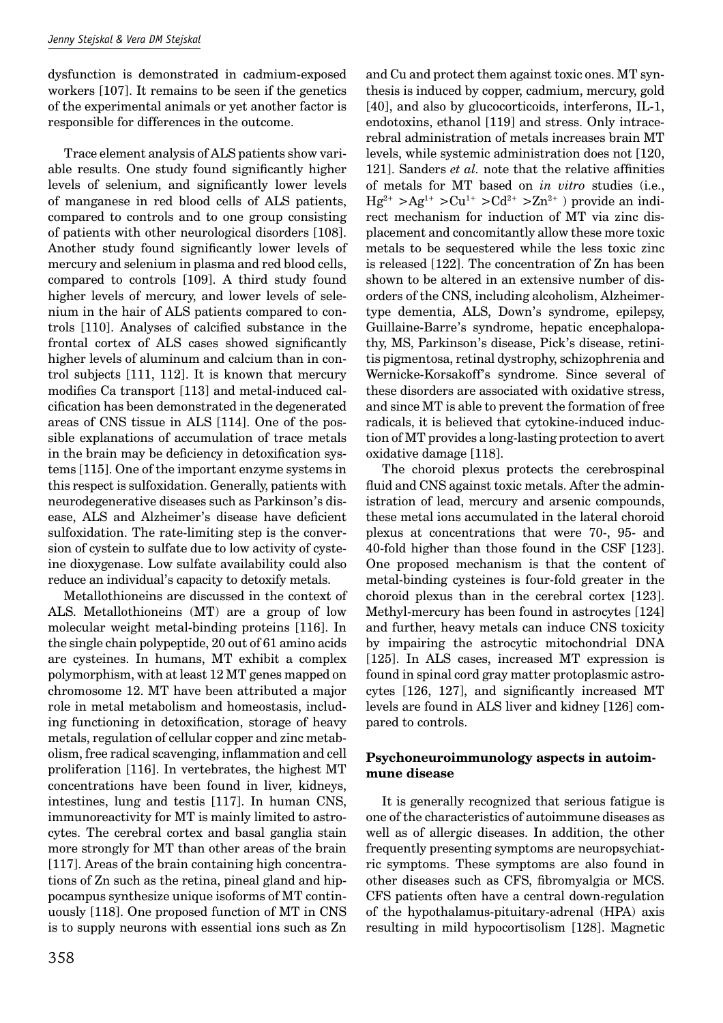dysfunction is demonstrated in cadmium-exposed workers [107]. It remains to be seen if the genetics of the experimental animals or yet another factor is responsible for differences in the outcome.

Trace element analysis of ALS patients show variable results. One study found significantly higher levels of selenium, and significantly lower levels of manganese in red blood cells of ALS patients, compared to controls and to one group consisting of patients with other neurological disorders [108]. Another study found significantly lower levels of mercury and selenium in plasma and red blood cells, compared to controls [109]. A third study found higher levels of mercury, and lower levels of selenium in the hair of ALS patients compared to controls  $[110]$ . Analyses of calcified substance in the frontal cortex of ALS cases showed significantly higher levels of aluminum and calcium than in control subjects [111, 112]. It is known that mercury modifies Ca transport [113] and metal-induced calcification has been demonstrated in the degenerated areas of CNS tissue in ALS [114]. One of the possible explanations of accumulation of trace metals in the brain may be deficiency in detoxification systems [115]. One of the important enzyme systems in this respect is sulfoxidation. Generally, patients with neurodegenerative diseases such as Parkinson's disease, ALS and Alzheimer's disease have deficient sulfoxidation. The rate-limiting step is the conversion of cystein to sulfate due to low activity of cysteine dioxygenase. Low sulfate availability could also reduce an individual's capacity to detoxify metals.

Metallothioneins are discussed in the context of ALS. Metallothioneins (MT) are a group of low molecular weight metal-binding proteins [116]. In the single chain polypeptide, 20 out of 61 amino acids are cysteines. In humans, MT exhibit a complex polymorphism, with at least 12 MT genes mapped on chromosome 12. MT have been attributed a major role in metal metabolism and homeostasis, including functioning in detoxification, storage of heavy metals, regulation of cellular copper and zinc metabolism, free radical scavenging, inflammation and cell proliferation [116]. In vertebrates, the highest MT concentrations have been found in liver, kidneys, intestines, lung and testis [117]. In human CNS, immunoreactivity for MT is mainly limited to astrocytes. The cerebral cortex and basal ganglia stain more strongly for MT than other areas of the brain [117]. Areas of the brain containing high concentrations of Zn such as the retina, pineal gland and hippocampus synthesize unique isoforms of MT continuously [118]. One proposed function of MT in CNS is to supply neurons with essential ions such as Zn

and Cu and protect them against toxic ones. MT synthesis is induced by copper, cadmium, mercury, gold [40], and also by glucocorticoids, interferons, IL-1, endotoxins, ethanol [119] and stress. Only intracerebral administration of metals increases brain MT levels, while systemic administration does not [120, 121]. Sanders *et al.* note that the relative affinities of metals for MT based on *in vitro* studies (i.e.,  $Hg^{2+} > Ag^{1+} > Cu^{1+} > Cd^{2+} > Zn^{2+}$ ) provide an indirect mechanism for induction of MT via zinc displacement and concomitantly allow these more toxic metals to be sequestered while the less toxic zinc is released [122]. The concentration of Zn has been shown to be altered in an extensive number of disorders of the CNS, including alcoholism, Alzheimertype dementia, ALS, Down's syndrome, epilepsy, Guillaine-Barre's syndrome, hepatic encephalopathy, MS, Parkinson's disease, Pick's disease, retinitis pigmentosa, retinal dystrophy, schizophrenia and Wernicke-Korsakoff's syndrome. Since several of these disorders are associated with oxidative stress, and since MT is able to prevent the formation of free radicals, it is believed that cytokine-induced induction of MT provides a long-lasting protection to avert oxidative damage [118].

The choroid plexus protects the cerebrospinal fluid and CNS against toxic metals. After the administration of lead, mercury and arsenic compounds, these metal ions accumulated in the lateral choroid plexus at concentrations that were 70-, 95- and 40-fold higher than those found in the CSF [123]. One proposed mechanism is that the content of metal-binding cysteines is four-fold greater in the choroid plexus than in the cerebral cortex [123]. Methyl-mercury has been found in astrocytes [124] and further, heavy metals can induce CNS toxicity by impairing the astrocytic mitochondrial DNA [125]. In ALS cases, increased MT expression is found in spinal cord gray matter protoplasmic astrocytes  $[126, 127]$ , and significantly increased MT levels are found in ALS liver and kidney [126] compared to controls.

## **Psychoneuroimmunology aspects in autoimmune disease**

It is generally recognized that serious fatigue is one of the characteristics of autoimmune diseases as well as of allergic diseases. In addition, the other frequently presenting symptoms are neuropsychiatric symptoms. These symptoms are also found in other diseases such as CFS, fibromyalgia or MCS. CFS patients often have a central down-regulation of the hypothalamus-pituitary-adrenal (HPA) axis resulting in mild hypocortisolism [128]. Magnetic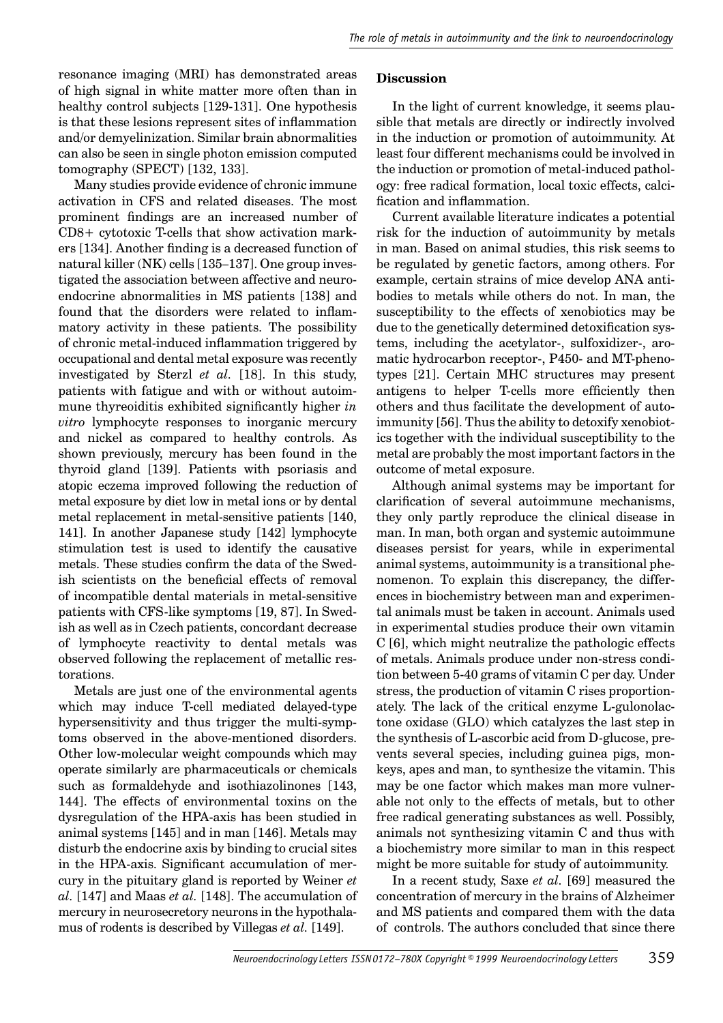resonance imaging (MRI) has demonstrated areas of high signal in white matter more often than in healthy control subjects [129-131]. One hypothesis is that these lesions represent sites of inflammation and/or demyelinization. Similar brain abnormalities can also be seen in single photon emission computed tomography (SPECT) [132, 133].

Many studies provide evidence of chronic immune activation in CFS and related diseases. The most prominent findings are an increased number of CD8+ cytotoxic T-cells that show activation markers [134]. Another finding is a decreased function of natural killer (NK) cells [135–137]. One group investigated the association between affective and neuroendocrine abnormalities in MS patients [138] and found that the disorders were related to inflammatory activity in these patients. The possibility of chronic metal-induced inflammation triggered by occupational and dental metal exposure was recently investigated by Sterzl *et al.* [18]. In this study, patients with fatigue and with or without autoimmune thyreoiditis exhibited significantly higher *in vitro* lymphocyte responses to inorganic mercury and nickel as compared to healthy controls. As shown previously, mercury has been found in the thyroid gland [139]. Patients with psoriasis and atopic eczema improved following the reduction of metal exposure by diet low in metal ions or by dental metal replacement in metal-sensitive patients [140, 141]. In another Japanese study [142] lymphocyte stimulation test is used to identify the causative metals. These studies confirm the data of the Swedish scientists on the beneficial effects of removal of incompatible dental materials in metal-sensitive patients with CFS-like symptoms [19, 87]. In Swedish as well as in Czech patients, concordant decrease of lymphocyte reactivity to dental metals was observed following the replacement of metallic restorations.

Metals are just one of the environmental agents which may induce T-cell mediated delayed-type hypersensitivity and thus trigger the multi-symptoms observed in the above-mentioned disorders. Other low-molecular weight compounds which may operate similarly are pharmaceuticals or chemicals such as formaldehyde and isothiazolinones [143, 144]. The effects of environmental toxins on the dysregulation of the HPA-axis has been studied in animal systems [145] and in man [146]. Metals may disturb the endocrine axis by binding to crucial sites in the HPA-axis. Significant accumulation of mercury in the pituitary gland is reported by Weiner *et al.* [147] and Maas *et al.* [148]. The accumulation of mercury in neurosecretory neurons in the hypothalamus of rodents is described by Villegas *et al.* [149].

### **Discussion**

In the light of current knowledge, it seems plausible that metals are directly or indirectly involved in the induction or promotion of autoimmunity. At least four different mechanisms could be involved in the induction or promotion of metal-induced pathology: free radical formation, local toxic effects, calcification and inflammation.

Current available literature indicates a potential risk for the induction of autoimmunity by metals in man. Based on animal studies, this risk seems to be regulated by genetic factors, among others. For example, certain strains of mice develop ANA antibodies to metals while others do not. In man, the susceptibility to the effects of xenobiotics may be due to the genetically determined detoxification systems, including the acetylator-, sulfoxidizer-, aromatic hydrocarbon receptor-, P450- and MT-phenotypes [21]. Certain MHC structures may present antigens to helper T-cells more efficiently then others and thus facilitate the development of autoimmunity [56]. Thus the ability to detoxify xenobiotics together with the individual susceptibility to the metal are probably the most important factors in the outcome of metal exposure.

Although animal systems may be important for clarification of several autoimmune mechanisms, they only partly reproduce the clinical disease in man. In man, both organ and systemic autoimmune diseases persist for years, while in experimental animal systems, autoimmunity is a transitional phenomenon. To explain this discrepancy, the differences in biochemistry between man and experimental animals must be taken in account. Animals used in experimental studies produce their own vitamin C [6], which might neutralize the pathologic effects of metals. Animals produce under non-stress condition between 5-40 grams of vitamin C per day. Under stress, the production of vitamin C rises proportionately. The lack of the critical enzyme L-gulonolactone oxidase (GLO) which catalyzes the last step in the synthesis of L-ascorbic acid from D-glucose, prevents several species, including guinea pigs, monkeys, apes and man, to synthesize the vitamin. This may be one factor which makes man more vulnerable not only to the effects of metals, but to other free radical generating substances as well. Possibly, animals not synthesizing vitamin C and thus with a biochemistry more similar to man in this respect might be more suitable for study of autoimmunity.

In a recent study, Saxe *et al.* [69] measured the concentration of mercury in the brains of Alzheimer and MS patients and compared them with the data of controls. The authors concluded that since there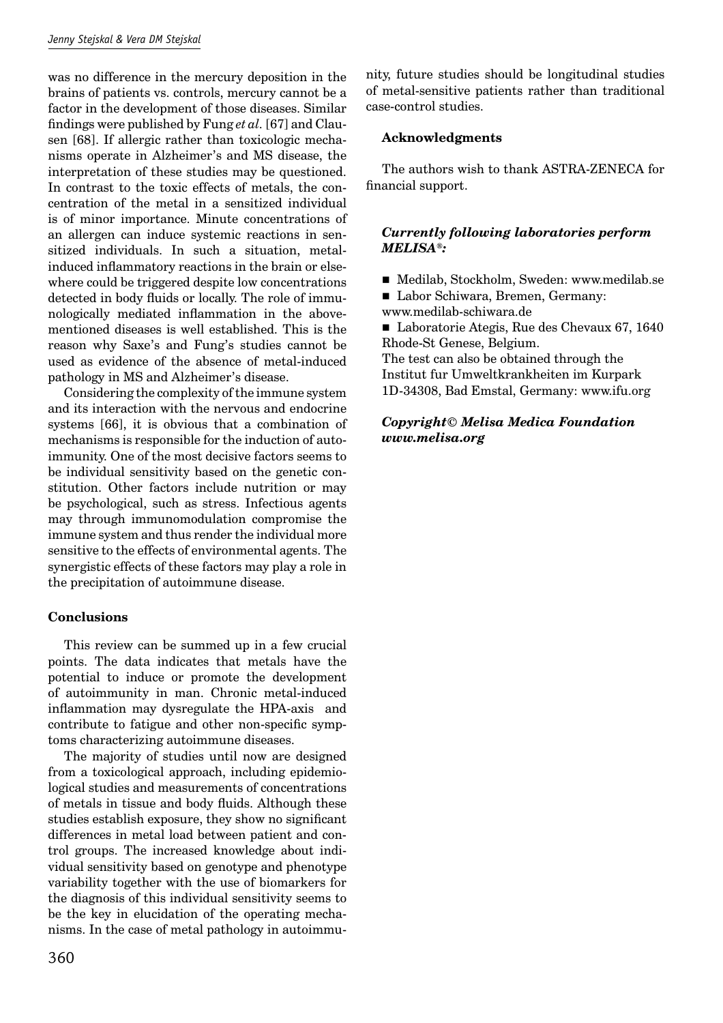was no difference in the mercury deposition in the brains of patients vs. controls, mercury cannot be a factor in the development of those diseases. Similar findings were published by Fung et al. [67] and Clausen [68]. If allergic rather than toxicologic mechanisms operate in Alzheimer's and MS disease, the interpretation of these studies may be questioned. In contrast to the toxic effects of metals, the concentration of the metal in a sensitized individual is of minor importance. Minute concentrations of an allergen can induce systemic reactions in sensitized individuals. In such a situation, metalinduced inflammatory reactions in the brain or elsewhere could be triggered despite low concentrations detected in body fluids or locally. The role of immunologically mediated inflammation in the abovementioned diseases is well established. This is the reason why Saxe's and Fung's studies cannot be used as evidence of the absence of metal-induced pathology in MS and Alzheimer's disease.

Considering the complexity of the immune system and its interaction with the nervous and endocrine systems [66], it is obvious that a combination of mechanisms is responsible for the induction of autoimmunity. One of the most decisive factors seems to be individual sensitivity based on the genetic constitution. Other factors include nutrition or may be psychological, such as stress. Infectious agents may through immunomodulation compromise the immune system and thus render the individual more sensitive to the effects of environmental agents. The synergistic effects of these factors may play a role in the precipitation of autoimmune disease.

# **Conclusions**

This review can be summed up in a few crucial points. The data indicates that metals have the potential to induce or promote the development of autoimmunity in man. Chronic metal-induced inflammation may dysregulate the HPA-axis and contribute to fatigue and other non-specific symptoms characterizing autoimmune diseases.

The majority of studies until now are designed from a toxicological approach, including epidemiological studies and measurements of concentrations of metals in tissue and body fluids. Although these studies establish exposure, they show no significant differences in metal load between patient and control groups. The increased knowledge about individual sensitivity based on genotype and phenotype variability together with the use of biomarkers for the diagnosis of this individual sensitivity seems to be the key in elucidation of the operating mechanisms. In the case of metal pathology in autoimmunity, future studies should be longitudinal studies of metal-sensitive patients rather than traditional case-control studies.

# **Acknowledgments**

The authors wish to thank ASTRA-ZENECA for financial support.

# *Currently following laboratories perform MELISA®:*

- ! Medilab, Stockholm, Sweden: www.medilab.se
- Labor Schiwara, Bremen, Germany:
- www.medilab-schiwara.de

■ Laboratorie Ategis, Rue des Chevaux 67, 1640 Rhode-St Genese, Belgium.

The test can also be obtained through the Institut fur Umweltkrankheiten im Kurpark 1D-34308, Bad Emstal, Germany: www.ifu.org

# *Copyright© Melisa Medica Foundation www.melisa.org*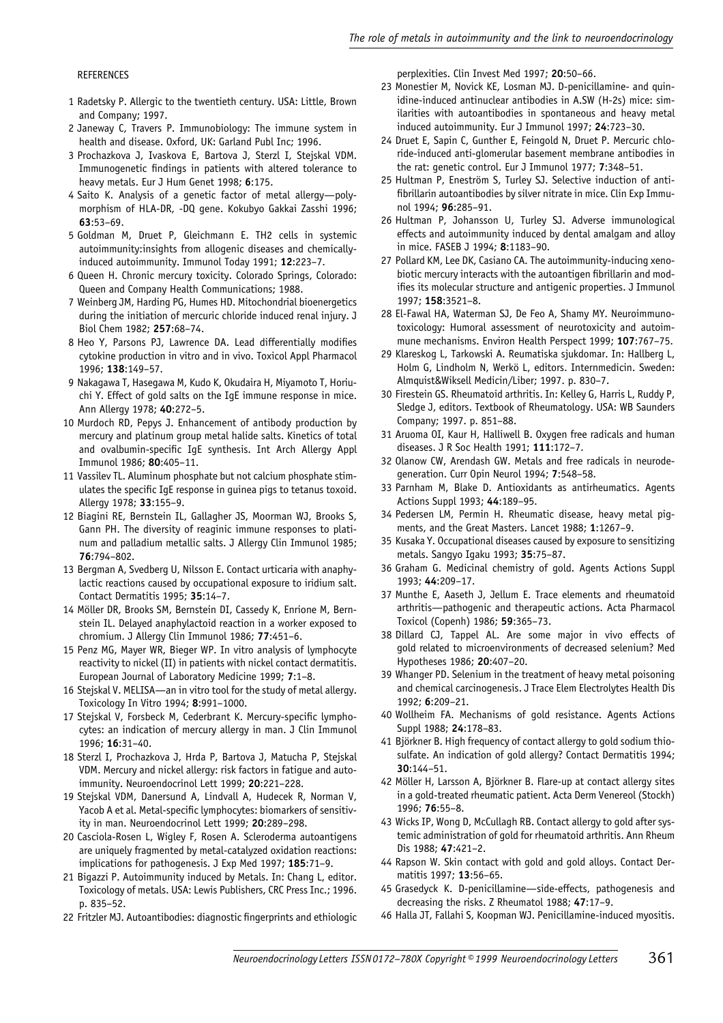#### **REFERENCES**

- 1 Radetsky P. Allergic to the twentieth century. USA: Little, Brown and Company; 1997.
- 2 Janeway C, Travers P. Immunobiology: The immune system in health and disease. Oxford, UK: Garland Publ Inc; 1996.
- 3 Prochazkova J, Ivaskova E, Bartova J, Sterzl I, Stejskal VDM. Immunogenetic findings in patients with altered tolerance to heavy metals. Eur J Hum Genet 1998; **6**:175.
- 4 Saito K. Analysis of a genetic factor of metal allergy—polymorphism of HLA-DR, -DQ gene. Kokubyo Gakkai Zasshi 1996; **63**:53–69.
- 5 Goldman M, Druet P, Gleichmann E. TH2 cells in systemic autoimmunity:insights from allogenic diseases and chemicallyinduced autoimmunity. Immunol Today 1991; **12**:223–7.
- 6 Queen H. Chronic mercury toxicity. Colorado Springs, Colorado: Queen and Company Health Communications; 1988.
- 7 Weinberg JM, Harding PG, Humes HD. Mitochondrial bioenergetics during the initiation of mercuric chloride induced renal injury. J Biol Chem 1982; **257**:68–74.
- 8 Heo Y, Parsons PJ, Lawrence DA. Lead differentially modifies cytokine production in vitro and in vivo. Toxicol Appl Pharmacol 1996; **138**:149–57.
- 9 Nakagawa T, Hasegawa M, Kudo K, Okudaira H, Miyamoto T, Horiuchi Y. Effect of gold salts on the IgE immune response in mice. Ann Allergy 1978; **40**:272–5.
- 10 Murdoch RD, Pepys J. Enhancement of antibody production by mercury and platinum group metal halide salts. Kinetics of total and ovalbumin-specific IqE synthesis. Int Arch Allergy Appl Immunol 1986; **80**:405–11.
- 11 Vassilev TL. Aluminum phosphate but not calcium phosphate stimulates the specific IgE response in guinea pigs to tetanus toxoid. Allergy 1978; **33**:155–9.
- 12 Biagini RE, Bernstein IL, Gallagher JS, Moorman WJ, Brooks S, Gann PH. The diversity of reaginic immune responses to platinum and palladium metallic salts. J Allergy Clin Immunol 1985; **76**:794–802.
- 13 Bergman A, Svedberg U, Nilsson E. Contact urticaria with anaphylactic reactions caused by occupational exposure to iridium salt. Contact Dermatitis 1995; **35**:14–7.
- 14 Möller DR, Brooks SM, Bernstein DI, Cassedy K, Enrione M, Bernstein IL. Delayed anaphylactoid reaction in a worker exposed to chromium. J Allergy Clin Immunol 1986; **77**:451–6.
- 15 Penz MG, Mayer WR, Bieger WP. In vitro analysis of lymphocyte reactivity to nickel (II) in patients with nickel contact dermatitis. European Journal of Laboratory Medicine 1999; **7**:1–8.
- 16 Stejskal V. MELISA—an in vitro tool for the study of metal allergy. Toxicology In Vitro 1994; **8**:991–1000.
- 17 Stejskal V, Forsbeck M, Cederbrant K. Mercury-specific lymphocytes: an indication of mercury allergy in man. J Clin Immunol 1996; **16**:31–40.
- 18 Sterzl I, Prochazkova J, Hrda P, Bartova J, Matucha P, Stejskal VDM. Mercury and nickel allergy: risk factors in fatigue and autoimmunity. Neuroendocrinol Lett 1999; **20**:221–228.
- 19 Stejskal VDM, Danersund A, Lindvall A, Hudecek R, Norman V, Yacob A et al. Metal-specific lymphocytes: biomarkers of sensitivity in man. Neuroendocrinol Lett 1999; **20**:289–298.
- 20 Casciola-Rosen L, Wigley F, Rosen A. Scleroderma autoantigens are uniquely fragmented by metal-catalyzed oxidation reactions: implications for pathogenesis. J Exp Med 1997; **185**:71–9.
- 21 Bigazzi P. Autoimmunity induced by Metals. In: Chang L, editor. Toxicology of metals. USA: Lewis Publishers, CRC Press Inc.; 1996. p. 835–52.
- 22 Fritzler MJ. Autoantibodies: diagnostic fingerprints and ethiologic

perplexities. Clin Invest Med 1997; **20**:50–66.

- 23 Monestier M, Novick KE, Losman MJ. D-penicillamine- and quinidine-induced antinuclear antibodies in A.SW (H-2s) mice: similarities with autoantibodies in spontaneous and heavy metal induced autoimmunity. Eur J Immunol 1997; **24**:723–30.
- 24 Druet E, Sapin C, Gunther E, Feingold N, Druet P. Mercuric chloride-induced anti-glomerular basement membrane antibodies in the rat: genetic control. Eur J Immunol 1977; **7**:348–51.
- 25 Hultman P, Eneström S, Turley SJ. Selective induction of antifibrillarin autoantibodies by silver nitrate in mice. Clin Exp Immunol 1994; **96**:285–91.
- 26 Hultman P, Johansson U, Turley SJ. Adverse immunological effects and autoimmunity induced by dental amalgam and alloy in mice. FASEB J 1994; **8**:1183–90.
- 27 Pollard KM, Lee DK, Casiano CA. The autoimmunity-inducing xenobiotic mercury interacts with the autoantigen fibrillarin and modifies its molecular structure and antigenic properties. J Immunol 1997; **158**:3521–8.
- 28 El-Fawal HA, Waterman SJ, De Feo A, Shamy MY. Neuroimmunotoxicology: Humoral assessment of neurotoxicity and autoimmune mechanisms. Environ Health Perspect 1999; **107**:767–75.
- 29 Klareskog L, Tarkowski A. Reumatiska sjukdomar. In: Hallberg L, Holm G, Lindholm N, Werkö L, editors. Internmedicin. Sweden: Almquist&Wiksell Medicin/Liber; 1997. p. 830–7.
- 30 Firestein GS. Rheumatoid arthritis. In: Kelley G, Harris L, Ruddy P, Sledge J, editors. Textbook of Rheumatology. USA: WB Saunders Company; 1997. p. 851–88.
- 31 Aruoma OI, Kaur H, Halliwell B. Oxygen free radicals and human diseases. J R Soc Health 1991; **111**:172–7.
- 32 Olanow CW, Arendash GW. Metals and free radicals in neurodegeneration. Curr Opin Neurol 1994; **7**:548–58.
- 33 Parnham M, Blake D. Antioxidants as antirheumatics. Agents Actions Suppl 1993; **44**:189–95.
- 34 Pedersen LM, Permin H. Rheumatic disease, heavy metal pigments, and the Great Masters. Lancet 1988; **1**:1267–9.
- 35 Kusaka Y. Occupational diseases caused by exposure to sensitizing metals. Sangyo Igaku 1993; **35**:75–87.
- 36 Graham G. Medicinal chemistry of gold. Agents Actions Suppl 1993; **44**:209–17.
- 37 Munthe E, Aaseth J, Jellum E. Trace elements and rheumatoid arthritis—pathogenic and therapeutic actions. Acta Pharmacol Toxicol (Copenh) 1986; **59**:365–73.
- 38 Dillard CJ, Tappel AL. Are some major in vivo effects of gold related to microenvironments of decreased selenium? Med Hypotheses 1986; **20**:407–20.
- 39 Whanger PD. Selenium in the treatment of heavy metal poisoning and chemical carcinogenesis. J Trace Elem Electrolytes Health Dis 1992; **6**:209–21.
- 40 Wollheim FA. Mechanisms of gold resistance. Agents Actions Suppl 1988; **24**:178–83.
- 41 Björkner B. High frequency of contact allergy to gold sodium thiosulfate. An indication of gold allergy? Contact Dermatitis 1994; **30**:144–51.
- 42 Möller H, Larsson A, Björkner B. Flare-up at contact allergy sites in a gold-treated rheumatic patient. Acta Derm Venereol (Stockh) 1996; **76**:55–8.
- 43 Wicks IP, Wong D, McCullagh RB. Contact allergy to gold after systemic administration of gold for rheumatoid arthritis. Ann Rheum Dis 1988; **47**:421–2.
- 44 Rapson W. Skin contact with gold and gold alloys. Contact Dermatitis 1997; **13**:56–65.
- 45 Grasedyck K. D-penicillamine—side-effects, pathogenesis and decreasing the risks. Z Rheumatol 1988; **47**:17–9.
- 46 Halla JT, Fallahi S, Koopman WJ. Penicillamine-induced myositis.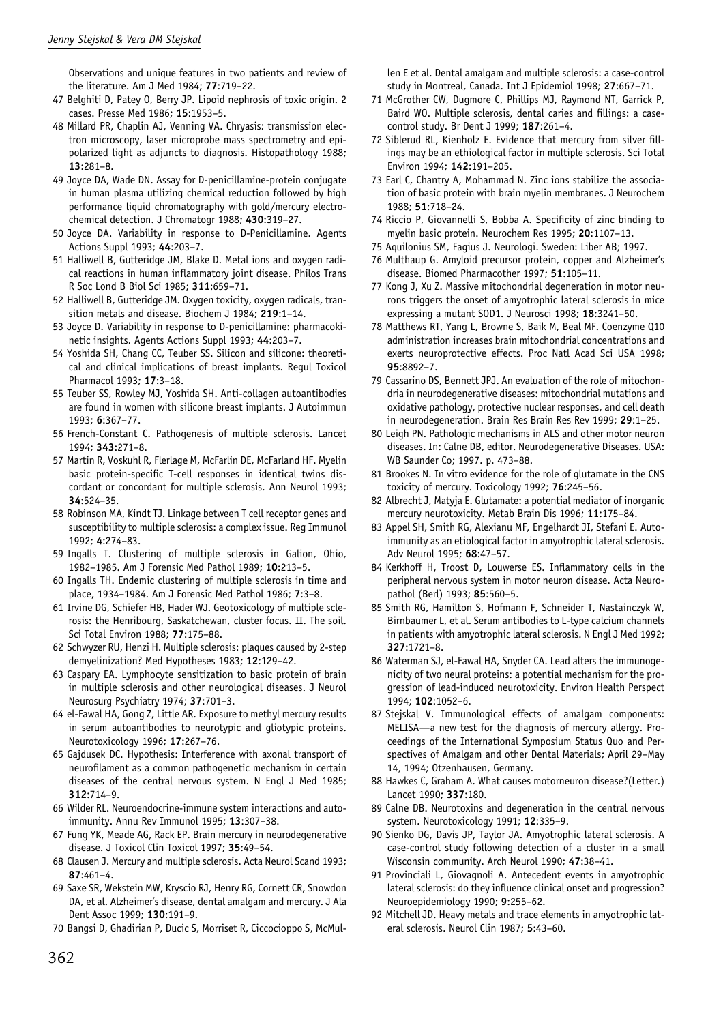Observations and unique features in two patients and review of the literature. Am J Med 1984; **77**:719–22.

- 47 Belghiti D, Patey O, Berry JP. Lipoid nephrosis of toxic origin. 2 cases. Presse Med 1986; **15**:1953–5.
- 48 Millard PR, Chaplin AJ, Venning VA. Chryasis: transmission electron microscopy, laser microprobe mass spectrometry and epipolarized light as adjuncts to diagnosis. Histopathology 1988; **13**:281–8.
- 49 Joyce DA, Wade DN. Assay for D-penicillamine-protein conjugate in human plasma utilizing chemical reduction followed by high performance liquid chromatography with gold/mercury electrochemical detection. J Chromatogr 1988; **430**:319–27.
- 50 Joyce DA. Variability in response to D-Penicillamine. Agents Actions Suppl 1993; **44**:203–7.
- 51 Halliwell B, Gutteridge JM, Blake D. Metal ions and oxygen radical reactions in human inflammatory joint disease. Philos Trans R Soc Lond B Biol Sci 1985; **311**:659–71.
- 52 Halliwell B, Gutteridge JM. Oxygen toxicity, oxygen radicals, transition metals and disease. Biochem J 1984; **219**:1–14.
- 53 Joyce D. Variability in response to D-penicillamine: pharmacokinetic insights. Agents Actions Suppl 1993; **44**:203–7.
- 54 Yoshida SH, Chang CC, Teuber SS. Silicon and silicone: theoretical and clinical implications of breast implants. Regul Toxicol Pharmacol 1993; **17**:3–18.
- 55 Teuber SS, Rowley MJ, Yoshida SH. Anti-collagen autoantibodies are found in women with silicone breast implants. J Autoimmun 1993; **6**:367–77.
- 56 French-Constant C. Pathogenesis of multiple sclerosis. Lancet 1994; **343**:271–8.
- 57 Martin R, Voskuhl R, Flerlage M, McFarlin DE, McFarland HF. Myelin basic protein-specific T-cell responses in identical twins discordant or concordant for multiple sclerosis. Ann Neurol 1993; **34**:524–35.
- 58 Robinson MA, Kindt TJ. Linkage between T cell receptor genes and susceptibility to multiple sclerosis: a complex issue. Reg Immunol 1992; **4**:274–83.
- 59 Ingalls T. Clustering of multiple sclerosis in Galion, Ohio, 1982–1985. Am J Forensic Med Pathol 1989; **10**:213–5.
- 60 Ingalls TH. Endemic clustering of multiple sclerosis in time and place, 1934–1984. Am J Forensic Med Pathol 1986; **7**:3–8.
- 61 Irvine DG, Schiefer HB, Hader WJ. Geotoxicology of multiple sclerosis: the Henribourg, Saskatchewan, cluster focus. II. The soil. Sci Total Environ 1988; **77**:175–88.
- 62 Schwyzer RU, Henzi H. Multiple sclerosis: plaques caused by 2-step demyelinization? Med Hypotheses 1983; **12**:129–42.
- 63 Caspary EA. Lymphocyte sensitization to basic protein of brain in multiple sclerosis and other neurological diseases. J Neurol Neurosurg Psychiatry 1974; **37**:701–3.
- 64 el-Fawal HA, Gong Z, Little AR. Exposure to methyl mercury results in serum autoantibodies to neurotypic and gliotypic proteins. Neurotoxicology 1996; **17**:267–76.
- 65 Gajdusek DC. Hypothesis: Interference with axonal transport of neurofilament as a common pathogenetic mechanism in certain diseases of the central nervous system. N Engl J Med 1985; **312**:714–9.
- 66 Wilder RL. Neuroendocrine-immune system interactions and autoimmunity. Annu Rev Immunol 1995; **13**:307–38.
- 67 Fung YK, Meade AG, Rack EP. Brain mercury in neurodegenerative disease. J Toxicol Clin Toxicol 1997; **35**:49–54.
- 68 Clausen J. Mercury and multiple sclerosis. Acta Neurol Scand 1993; **87**:461–4.
- 69 Saxe SR, Wekstein MW, Kryscio RJ, Henry RG, Cornett CR, Snowdon DA, et al. Alzheimer's disease, dental amalgam and mercury. J Ala Dent Assoc 1999; **130**:191–9.
- 70 Bangsi D, Ghadirian P, Ducic S, Morriset R, Ciccocioppo S, McMul-

len E et al. Dental amalgam and multiple sclerosis: a case-control study in Montreal, Canada. Int J Epidemiol 1998; **27**:667–71.

- 71 McGrother CW, Dugmore C, Phillips MJ, Raymond NT, Garrick P, Baird WO. Multiple sclerosis, dental caries and fillings: a casecontrol study. Br Dent J 1999; **187**:261–4.
- 72 Siblerud RL, Kienholz E. Evidence that mercury from silver fillings may be an ethiological factor in multiple sclerosis. Sci Total Environ 1994; **142**:191–205.
- 73 Earl C, Chantry A, Mohammad N. Zinc ions stabilize the association of basic protein with brain myelin membranes. J Neurochem 1988; **51**:718–24.
- 74 Riccio P, Giovannelli S, Bobba A. Specificity of zinc binding to myelin basic protein. Neurochem Res 1995; **20**:1107–13.
- 75 Aquilonius SM, Fagius J. Neurologi. Sweden: Liber AB; 1997.
- 76 Multhaup G. Amyloid precursor protein, copper and Alzheimer's disease. Biomed Pharmacother 1997; **51**:105–11.
- 77 Kong J, Xu Z. Massive mitochondrial degeneration in motor neurons triggers the onset of amyotrophic lateral sclerosis in mice expressing a mutant SOD1. J Neurosci 1998; **18**:3241–50.
- 78 Matthews RT, Yang L, Browne S, Baik M, Beal MF. Coenzyme Q10 administration increases brain mitochondrial concentrations and exerts neuroprotective effects. Proc Natl Acad Sci USA 1998; **95**:8892–7.
- 79 Cassarino DS, Bennett JPJ. An evaluation of the role of mitochondria in neurodegenerative diseases: mitochondrial mutations and oxidative pathology, protective nuclear responses, and cell death in neurodegeneration. Brain Res Brain Res Rev 1999; **29**:1–25.
- 80 Leigh PN. Pathologic mechanisms in ALS and other motor neuron diseases. In: Calne DB, editor. Neurodegenerative Diseases. USA: WB Saunder Co; 1997. p. 473–88.
- 81 Brookes N. In vitro evidence for the role of glutamate in the CNS toxicity of mercury. Toxicology 1992; **76**:245–56.
- 82 Albrecht J, Matyja E. Glutamate: a potential mediator of inorganic mercury neurotoxicity. Metab Brain Dis 1996; **11**:175–84.
- 83 Appel SH, Smith RG, Alexianu MF, Engelhardt JI, Stefani E. Autoimmunity as an etiological factor in amyotrophic lateral sclerosis. Adv Neurol 1995; **68**:47–57.
- 84 Kerkhoff H, Troost D, Louwerse ES. Inflammatory cells in the peripheral nervous system in motor neuron disease. Acta Neuropathol (Berl) 1993; **85**:560–5.
- 85 Smith RG, Hamilton S, Hofmann F, Schneider T, Nastainczyk W, Birnbaumer L, et al. Serum antibodies to L-type calcium channels in patients with amyotrophic lateral sclerosis. N Engl J Med 1992; **327**:1721–8.
- 86 Waterman SJ, el-Fawal HA, Snyder CA. Lead alters the immunogenicity of two neural proteins: a potential mechanism for the progression of lead-induced neurotoxicity. Environ Health Perspect 1994; **102**:1052–6.
- 87 Stejskal V. Immunological effects of amalgam components: MELISA—a new test for the diagnosis of mercury allergy. Proceedings of the International Symposium Status Quo and Perspectives of Amalgam and other Dental Materials; April 29–May 14, 1994; Otzenhausen, Germany.
- 88 Hawkes C, Graham A. What causes motorneuron disease?(Letter.) Lancet 1990; **337**:180.
- 89 Calne DB. Neurotoxins and degeneration in the central nervous system. Neurotoxicology 1991; **12**:335–9.
- 90 Sienko DG, Davis JP, Taylor JA. Amyotrophic lateral sclerosis. A case-control study following detection of a cluster in a small Wisconsin community. Arch Neurol 1990; **47**:38–41.
- 91 Provinciali L, Giovagnoli A. Antecedent events in amyotrophic lateral sclerosis: do they influence clinical onset and progression? Neuroepidemiology 1990; **9**:255–62.
- 92 Mitchell JD. Heavy metals and trace elements in amyotrophic lateral sclerosis. Neurol Clin 1987; **5**:43–60.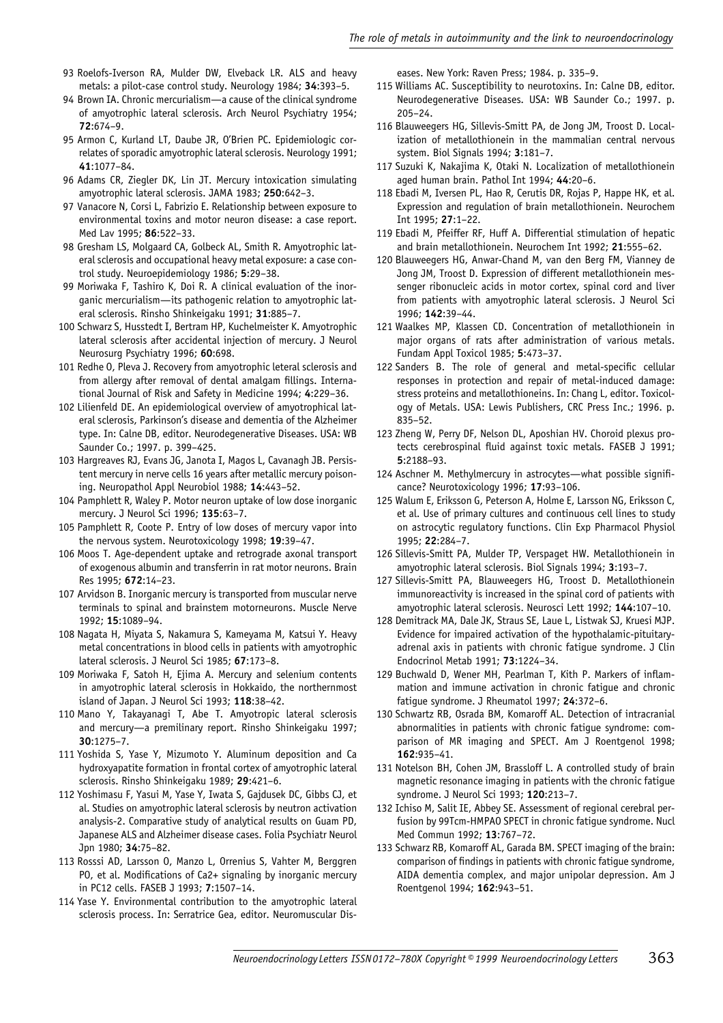- 93 Roelofs-Iverson RA, Mulder DW, Elveback LR. ALS and heavy metals: a pilot-case control study. Neurology 1984; **34**:393–5.
- 94 Brown IA. Chronic mercurialism—a cause of the clinical syndrome of amyotrophic lateral sclerosis. Arch Neurol Psychiatry 1954; **72**:674–9.
- 95 Armon C, Kurland LT, Daube JR, O'Brien PC. Epidemiologic correlates of sporadic amyotrophic lateral sclerosis. Neurology 1991; **41**:1077–84.
- 96 Adams CR, Ziegler DK, Lin JT. Mercury intoxication simulating amyotrophic lateral sclerosis. JAMA 1983; **250**:642–3.
- 97 Vanacore N, Corsi L, Fabrizio E. Relationship between exposure to environmental toxins and motor neuron disease: a case report. Med Lav 1995; **86**:522–33.
- 98 Gresham LS, Molgaard CA, Golbeck AL, Smith R. Amyotrophic lateral sclerosis and occupational heavy metal exposure: a case control study. Neuroepidemiology 1986; **5**:29–38.
- 99 Moriwaka F, Tashiro K, Doi R. A clinical evaluation of the inorganic mercurialism—its pathogenic relation to amyotrophic lateral sclerosis. Rinsho Shinkeigaku 1991; **31**:885–7.
- 100 Schwarz S, Husstedt I, Bertram HP, Kuchelmeister K. Amyotrophic lateral sclerosis after accidental injection of mercury. J Neurol Neurosurg Psychiatry 1996; **60**:698.
- 101 Redhe O, Pleva J. Recovery from amyotrophic leteral sclerosis and from allergy after removal of dental amalgam fillings. International Journal of Risk and Safety in Medicine 1994; **4**:229–36.
- 102 Lilienfeld DE. An epidemiological overview of amyotrophical lateral sclerosis, Parkinson's disease and dementia of the Alzheimer type. In: Calne DB, editor. Neurodegenerative Diseases. USA: WB Saunder Co.; 1997. p. 399–425.
- 103 Hargreaves RJ, Evans JG, Janota I, Magos L, Cavanagh JB. Persistent mercury in nerve cells 16 years after metallic mercury poisoning. Neuropathol Appl Neurobiol 1988; **14**:443–52.
- 104 Pamphlett R, Waley P. Motor neuron uptake of low dose inorganic mercury. J Neurol Sci 1996; **135**:63–7.
- 105 Pamphlett R, Coote P. Entry of low doses of mercury vapor into the nervous system. Neurotoxicology 1998; **19**:39–47.
- 106 Moos T. Age-dependent uptake and retrograde axonal transport of exogenous albumin and transferrin in rat motor neurons. Brain Res 1995; **672**:14–23.
- 107 Arvidson B. Inorganic mercury is transported from muscular nerve terminals to spinal and brainstem motorneurons. Muscle Nerve 1992; **15**:1089–94.
- 108 Nagata H, Miyata S, Nakamura S, Kameyama M, Katsui Y. Heavy metal concentrations in blood cells in patients with amyotrophic lateral sclerosis. J Neurol Sci 1985; **67**:173–8.
- 109 Moriwaka F, Satoh H, Ejima A. Mercury and selenium contents in amyotrophic lateral sclerosis in Hokkaido, the northernmost island of Japan. J Neurol Sci 1993; **118**:38–42.
- 110 Mano Y, Takayanagi T, Abe T. Amyotropic lateral sclerosis and mercury—a premilinary report. Rinsho Shinkeigaku 1997; **30**:1275–7.
- 111 Yoshida S, Yase Y, Mizumoto Y. Aluminum deposition and Ca hydroxyapatite formation in frontal cortex of amyotrophic lateral sclerosis. Rinsho Shinkeigaku 1989; **29**:421–6.
- 112 Yoshimasu F, Yasui M, Yase Y, Iwata S, Gajdusek DC, Gibbs CJ, et al. Studies on amyotrophic lateral sclerosis by neutron activation analysis-2. Comparative study of analytical results on Guam PD, Japanese ALS and Alzheimer disease cases. Folia Psychiatr Neurol Jpn 1980; **34**:75–82.
- 113 Rosssi AD, Larsson O, Manzo L, Orrenius S, Vahter M, Berggren PO, et al. Modifications of Ca2+ signaling by inorganic mercury in PC12 cells. FASEB J 1993; **7**:1507–14.
- 114 Yase Y. Environmental contribution to the amyotrophic lateral sclerosis process. In: Serratrice Gea, editor. Neuromuscular Dis-

eases. New York: Raven Press; 1984. p. 335–9.

- 115 Williams AC. Susceptibility to neurotoxins. In: Calne DB, editor. Neurodegenerative Diseases. USA: WB Saunder Co.; 1997. p. 205–24.
- 116 Blauweegers HG, Sillevis-Smitt PA, de Jong JM, Troost D. Localization of metallothionein in the mammalian central nervous system. Biol Signals 1994; **3**:181–7.
- 117 Suzuki K, Nakajima K, Otaki N. Localization of metallothionein aged human brain. Pathol Int 1994; **44**:20–6.
- 118 Ebadi M, Iversen PL, Hao R, Cerutis DR, Rojas P, Happe HK, et al. Expression and regulation of brain metallothionein. Neurochem Int 1995; **27**:1–22.
- 119 Ebadi M, Pfeiffer RF, Huff A. Differential stimulation of hepatic and brain metallothionein. Neurochem Int 1992; **21**:555–62.
- 120 Blauweegers HG, Anwar-Chand M, van den Berg FM, Vianney de Jong JM, Troost D. Expression of different metallothionein messenger ribonucleic acids in motor cortex, spinal cord and liver from patients with amyotrophic lateral sclerosis. J Neurol Sci 1996; **142**:39–44.
- 121 Waalkes MP, Klassen CD. Concentration of metallothionein in major organs of rats after administration of various metals. Fundam Appl Toxicol 1985; **5**:473–37.
- 122 Sanders B. The role of general and metal-specific cellular responses in protection and repair of metal-induced damage: stress proteins and metallothioneins. In: Chang L, editor. Toxicology of Metals. USA: Lewis Publishers, CRC Press Inc.; 1996. p. 835–52.
- 123 Zheng W, Perry DF, Nelson DL, Aposhian HV. Choroid plexus protects cerebrospinal fluid against toxic metals. FASEB J 1991; **5**:2188–93.
- 124 Aschner M. Methylmercury in astrocytes—what possible significance? Neurotoxicology 1996; **17**:93–106.
- 125 Walum E, Eriksson G, Peterson A, Holme E, Larsson NG, Eriksson C, et al. Use of primary cultures and continuous cell lines to study on astrocytic regulatory functions. Clin Exp Pharmacol Physiol 1995; **22**:284–7.
- 126 Sillevis-Smitt PA, Mulder TP, Verspaget HW. Metallothionein in amyotrophic lateral sclerosis. Biol Signals 1994; **3**:193–7.
- 127 Sillevis-Smitt PA, Blauweegers HG, Troost D. Metallothionein immunoreactivity is increased in the spinal cord of patients with amyotrophic lateral sclerosis. Neurosci Lett 1992; **144**:107–10.
- 128 Demitrack MA, Dale JK, Straus SE, Laue L, Listwak SJ, Kruesi MJP. Evidence for impaired activation of the hypothalamic-pituitaryadrenal axis in patients with chronic fatigue syndrome. J Clin Endocrinol Metab 1991; **73**:1224–34.
- 129 Buchwald D, Wener MH, Pearlman T, Kith P. Markers of inflammation and immune activation in chronic fatigue and chronic fatigue syndrome. J Rheumatol 1997; **24**:372–6.
- 130 Schwartz RB, Osrada BM, Komaroff AL. Detection of intracranial abnormalities in patients with chronic fatigue syndrome: comparison of MR imaging and SPECT. Am J Roentgenol 1998; **162**:935–41.
- 131 Notelson BH, Cohen JM, Brassloff L. A controlled study of brain magnetic resonance imaging in patients with the chronic fatigue syndrome. J Neurol Sci 1993; **120**:213–7.
- 132 Ichiso M, Salit IE, Abbey SE. Assessment of regional cerebral perfusion by 99Tcm-HMPAO SPECT in chronic fatigue syndrome. Nucl Med Commun 1992; **13**:767–72.
- 133 Schwarz RB, Komaroff AL, Garada BM. SPECT imaging of the brain: comparison of findings in patients with chronic fatigue syndrome, AIDA dementia complex, and major unipolar depression. Am J Roentgenol 1994; **162**:943–51.